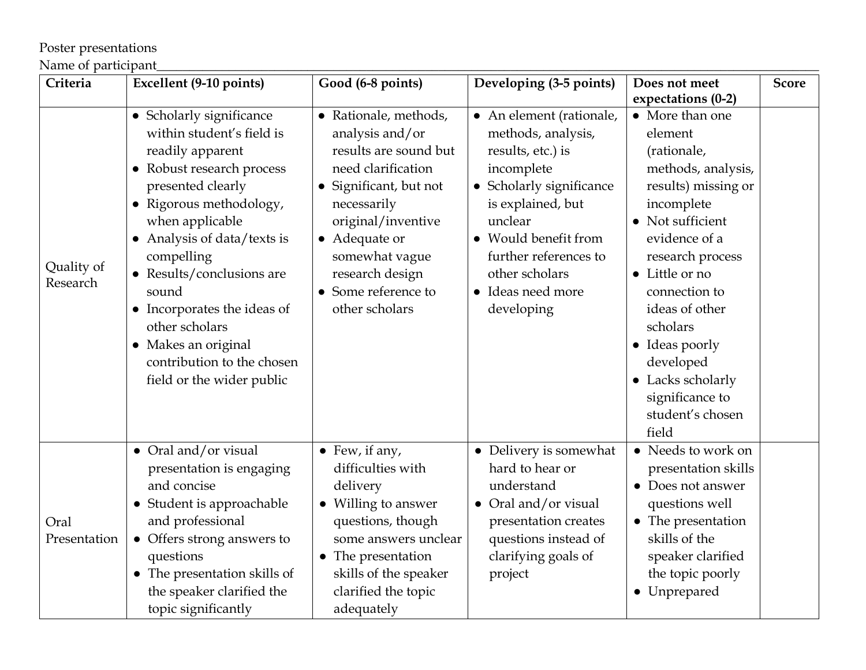## Poster presentations

## Name of participant\_\_\_\_\_\_\_\_\_\_\_\_\_\_\_\_\_\_\_\_\_\_\_\_\_\_\_\_\_\_\_\_\_\_\_\_\_\_\_\_\_\_\_\_\_\_\_\_\_\_\_\_\_\_\_\_\_\_\_\_\_\_\_\_\_\_\_\_\_\_\_\_\_\_\_\_\_\_\_\_\_\_\_\_\_\_\_\_\_\_\_\_\_\_\_\_\_\_\_\_\_

| Criteria               | Excellent (9-10 points)                                                                                                                                                                                                                                                                                                                                                                                    | Good (6-8 points)                                                                                                                                                                                                                                     | Developing (3-5 points)                                                                                                                                                                                                                                       | Does not meet                                                                                                                                                                                                                                                                                                                      | <b>Score</b> |
|------------------------|------------------------------------------------------------------------------------------------------------------------------------------------------------------------------------------------------------------------------------------------------------------------------------------------------------------------------------------------------------------------------------------------------------|-------------------------------------------------------------------------------------------------------------------------------------------------------------------------------------------------------------------------------------------------------|---------------------------------------------------------------------------------------------------------------------------------------------------------------------------------------------------------------------------------------------------------------|------------------------------------------------------------------------------------------------------------------------------------------------------------------------------------------------------------------------------------------------------------------------------------------------------------------------------------|--------------|
|                        |                                                                                                                                                                                                                                                                                                                                                                                                            |                                                                                                                                                                                                                                                       |                                                                                                                                                                                                                                                               | expectations (0-2)                                                                                                                                                                                                                                                                                                                 |              |
| Quality of<br>Research | • Scholarly significance<br>within student's field is<br>readily apparent<br>• Robust research process<br>presented clearly<br>• Rigorous methodology,<br>when applicable<br>Analysis of data/texts is<br>$\bullet$<br>compelling<br>• Results/conclusions are<br>sound<br>• Incorporates the ideas of<br>other scholars<br>• Makes an original<br>contribution to the chosen<br>field or the wider public | • Rationale, methods,<br>analysis and/or<br>results are sound but<br>need clarification<br>• Significant, but not<br>necessarily<br>original/inventive<br>• Adequate or<br>somewhat vague<br>research design<br>• Some reference to<br>other scholars | • An element (rationale,<br>methods, analysis,<br>results, etc.) is<br>incomplete<br>$\bullet\,$ Scholarly significance<br>is explained, but<br>unclear<br>• Would benefit from<br>further references to<br>other scholars<br>• Ideas need more<br>developing | • More than one<br>element<br>(rationale,<br>methods, analysis,<br>results) missing or<br>incomplete<br>• Not sufficient<br>evidence of a<br>research process<br>• Little or no<br>connection to<br>ideas of other<br>scholars<br>• Ideas poorly<br>developed<br>• Lacks scholarly<br>significance to<br>student's chosen<br>field |              |
| Oral<br>Presentation   | • Oral and/or visual<br>presentation is engaging<br>and concise<br>• Student is approachable<br>and professional<br>• Offers strong answers to<br>questions<br>• The presentation skills of<br>the speaker clarified the<br>topic significantly                                                                                                                                                            | $\bullet$ Few, if any,<br>difficulties with<br>delivery<br>• Willing to answer<br>questions, though<br>some answers unclear<br>• The presentation<br>skills of the speaker<br>clarified the topic<br>adequately                                       | • Delivery is somewhat<br>hard to hear or<br>understand<br>• Oral and/or visual<br>presentation creates<br>questions instead of<br>clarifying goals of<br>project                                                                                             | • Needs to work on<br>presentation skills<br>• Does not answer<br>questions well<br>• The presentation<br>skills of the<br>speaker clarified<br>the topic poorly<br>• Unprepared                                                                                                                                                   |              |